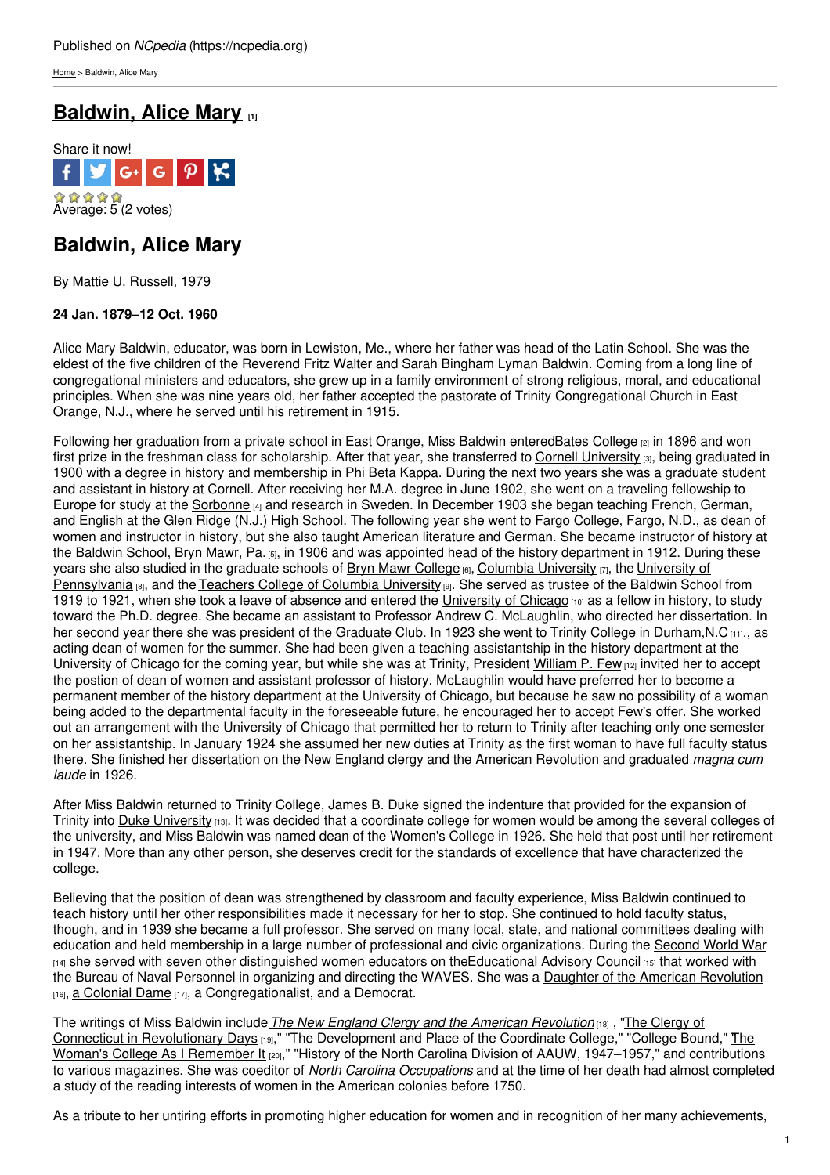[Home](https://ncpedia.org/) > Baldwin, Alice Mary

# **[Baldwin,](https://ncpedia.org/biography/baldwin-alice-mary) Alice Mary [1]**



## **Baldwin, Alice Mary**

By Mattie U. Russell, 1979

### **24 Jan. 1879–12 Oct. 1960**

Alice Mary Baldwin, educator, was born in Lewiston, Me., where her father was head of the Latin School. She was the eldest of the five children of the Reverend Fritz [Walter](http://www.social9.com) and Sarah Bingham Lyman Baldwin. Coming from a long line of congregational ministers and educators, she grew up in a family environment of strong religious, moral, and educational principles. When she was nine years old, her father accepted the pastorate of Trinity Congregational Church in East Orange, N.J., where he served until his retirement in 1915.

Following her graduation from a private school in East Orange, Miss Baldwin entered Bates [College](http://www.bates.edu/) [2] in 1896 and won first prize in the freshman class for scholarship. After that year, she transferred to Cornell [University](http://www.cornell.edu/) [3], being graduated in 1900 with a degree in history and membership in Phi Beta Kappa. During the next two years she was a graduate student and assistant in history at Cornell. After receiving her M.A. degree in June 1902, she went on a traveling fellowship to Europe for study at the [Sorbonne](http://www.sorbonne-university.com/) [4] and research in Sweden. In December 1903 she began teaching French, German, and English at the Glen Ridge (N.J.) High School. The following year she went to Fargo College, Fargo, N.D., as dean of women and instructor in history, but she also taught American literature and German. She became instructor of history at the [Baldwin](http://www.baldwinschool.org/) School, Bryn Mawr, Pa. [5], in 1906 and was appointed head of the history department in 1912. During these years she also studied in the graduate schools of Bryn Mawr [College](http://www.brynmawr.edu/)  $[6]$ , Columbia [University](http://www.columbia.edu/)  $[7]$ , the University of [Pennsylvania](http://www.upenn.edu/) [8], and the Teachers College of Columbia [University](http://www.tc.columbia.edu/) [9]. She served as trustee of the Baldwin School from 1919 to 1921, when she took a leave of absence and entered the [University](http://www.uchicago.edu/) of Chicago  $[10]$  as a fellow in history, to study toward the Ph.D. degree. She became an assistant to Professor Andrew C. McLaughlin, who directed her dissertation. In her second year there she was president of the Graduate Club. In 1923 she went to Trinity College in Durham, N.C [11]., as acting dean of women for the summer. She had been given a teaching assistantship in the history department at the University of Chicago for the coming year, but while she was at Trinity, President [William](https://ncpedia.org/biography/few-william-preston) P. Few [12] invited her to accept the postion of dean of women and assistant professor of history. McLaughlin would have preferred her to become a permanent member of the history department at the University of Chicago, but because he saw no possibility of a woman being added to the departmental faculty in the foreseeable future, he encouraged her to accept Few's offer. She worked out an arrangement with the University of Chicago that permitted her to return to Trinity after teaching only one semester on her assistantship. In January 1924 she assumed her new duties at Trinity as the first woman to have full faculty status there. She finished her dissertation on the New England clergy and the American Revolution and graduated *magna cum laude* in 1926.

After Miss Baldwin returned to Trinity College, James B. Duke signed the indenture that provided for the expansion of Trinity into Duke [University](https://ncpedia.org/duke-university) [13]. It was decided that a coordinate college for women would be among the several colleges of the university, and Miss Baldwin was named dean of the Women's College in 1926. She held that post until her retirement in 1947. More than any other person, she deserves credit for the standards of excellence that have characterized the college.

Believing that the position of dean was strengthened by classroom and faculty experience, Miss Baldwin continued to teach history until her other responsibilities made it necessary for her to stop. She continued to hold faculty status, though, and in 1939 she became a full professor. She served on many local, state, and national committees dealing with education and held membership in a large number of professional and civic organizations. During the [Second](https://ncpedia.org/history/20th-Century/wwii) World War [14] she served with seven other distinguished women educators on the Educational Advisory Council [15] that worked with the Bureau of Naval Personnel in organizing and directing the WAVES. She was a Daughter of the American [Revolution](http://www.dar.org/) [16], a [Colonial](http://www.nscda.org/) Dame [17], a Congregationalist, and a Democrat.

The writings of Miss Baldwin include*The New England Clergy and the American [Revolution](http://books.google.com/books/about/The_New_England_clergy_and_the_American.html?id=P9orAAAAIAAJ)* [18] , "The Clergy of Connecticut in [Revolutionary](http://library.duke.edu/uarchives/pdf/baldwin-memoir.pdf) Days <sub>[19]</sub>," "The Development and Place of the Coordinate College," "College Bound," <u>The</u> Woman's College As I Remember It [20]," "History of the North Carolina Division of AAUW, 1947–1957," and contributions to various magazines. She was coeditor of *North Carolina Occupations* and at the time of her death had almost completed a study of the reading interests of women in the American colonies before 1750.

As a tribute to her untiring efforts in promoting higher education for women and in recognition of her many achievements,